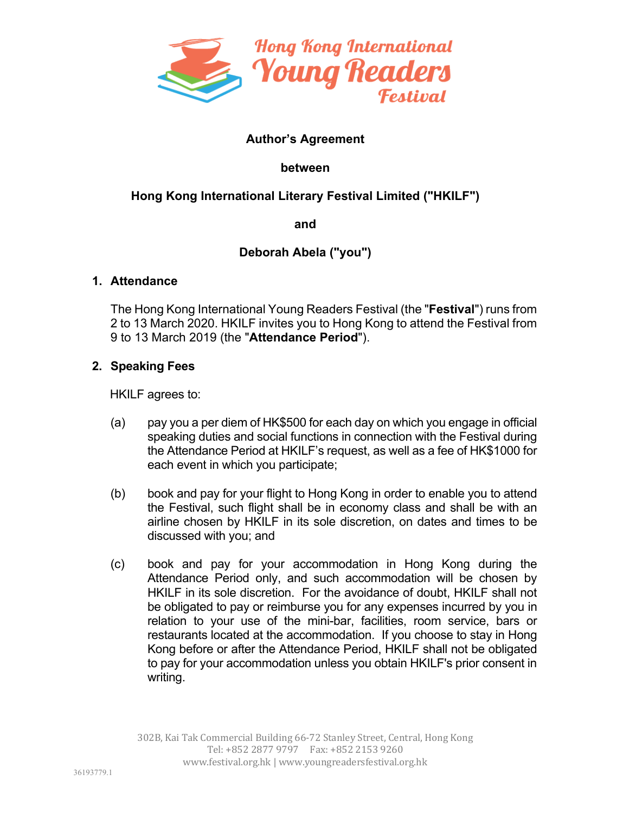

# **Author's Agreement**

#### **between**

# **Hong Kong International Literary Festival Limited ("HKILF")**

**and** 

# **Deborah Abela ("you")**

#### **1. Attendance**

The Hong Kong International Young Readers Festival (the "**Festival**") runs from 2 to 13 March 2020. HKILF invites you to Hong Kong to attend the Festival from 9 to 13 March 2019 (the "**Attendance Period**").

## **2. Speaking Fees**

HKILF agrees to:

- (a) pay you a per diem of HK\$500 for each day on which you engage in official speaking duties and social functions in connection with the Festival during the Attendance Period at HKILF's request, as well as a fee of HK\$1000 for each event in which you participate;
- (b) book and pay for your flight to Hong Kong in order to enable you to attend the Festival, such flight shall be in economy class and shall be with an airline chosen by HKILF in its sole discretion, on dates and times to be discussed with you; and
- (c) book and pay for your accommodation in Hong Kong during the Attendance Period only, and such accommodation will be chosen by HKILF in its sole discretion. For the avoidance of doubt, HKILF shall not be obligated to pay or reimburse you for any expenses incurred by you in relation to your use of the mini-bar, facilities, room service, bars or restaurants located at the accommodation. If you choose to stay in Hong Kong before or after the Attendance Period, HKILF shall not be obligated to pay for your accommodation unless you obtain HKILF's prior consent in writing.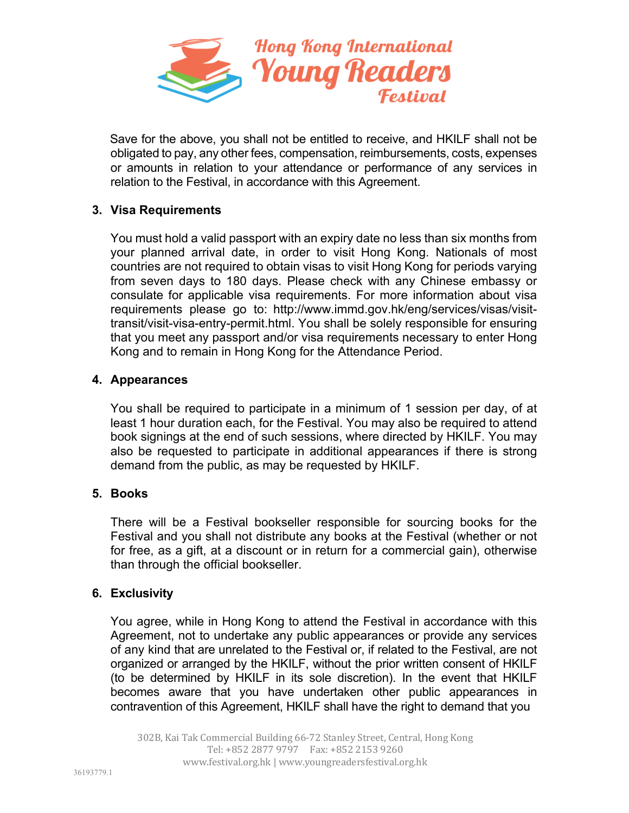

Save for the above, you shall not be entitled to receive, and HKILF shall not be obligated to pay, any other fees, compensation, reimbursements, costs, expenses or amounts in relation to your attendance or performance of any services in relation to the Festival, in accordance with this Agreement.

# **3. Visa Requirements**

You must hold a valid passport with an expiry date no less than six months from your planned arrival date, in order to visit Hong Kong. Nationals of most countries are not required to obtain visas to visit Hong Kong for periods varying from seven days to 180 days. Please check with any Chinese embassy or consulate for applicable visa requirements. For more information about visa requirements please go to: http://www.immd.gov.hk/eng/services/visas/visittransit/visit-visa-entry-permit.html. You shall be solely responsible for ensuring that you meet any passport and/or visa requirements necessary to enter Hong Kong and to remain in Hong Kong for the Attendance Period.

## **4. Appearances**

You shall be required to participate in a minimum of 1 session per day, of at least 1 hour duration each, for the Festival. You may also be required to attend book signings at the end of such sessions, where directed by HKILF. You may also be requested to participate in additional appearances if there is strong demand from the public, as may be requested by HKILF.

## **5. Books**

There will be a Festival bookseller responsible for sourcing books for the Festival and you shall not distribute any books at the Festival (whether or not for free, as a gift, at a discount or in return for a commercial gain), otherwise than through the official bookseller.

## **6. Exclusivity**

You agree, while in Hong Kong to attend the Festival in accordance with this Agreement, not to undertake any public appearances or provide any services of any kind that are unrelated to the Festival or, if related to the Festival, are not organized or arranged by the HKILF, without the prior written consent of HKILF (to be determined by HKILF in its sole discretion). In the event that HKILF becomes aware that you have undertaken other public appearances in contravention of this Agreement, HKILF shall have the right to demand that you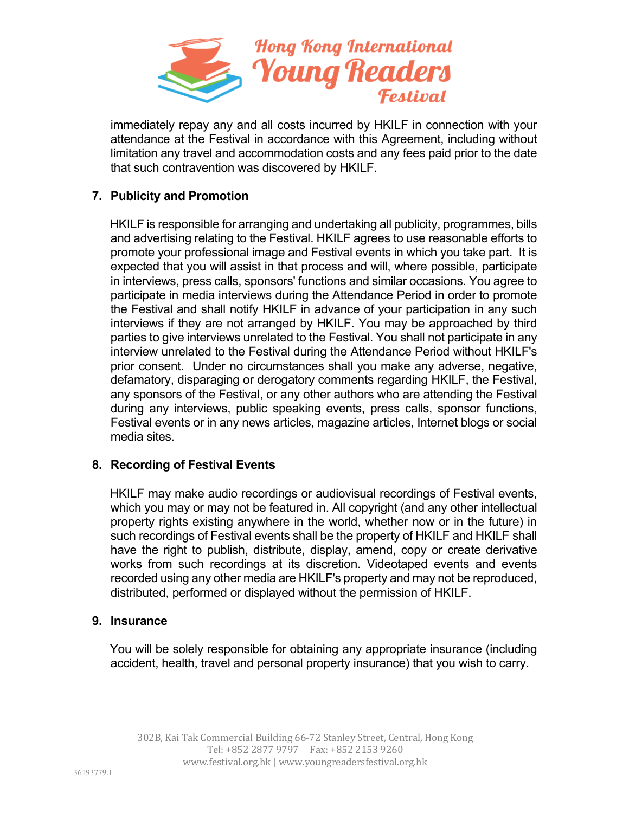

immediately repay any and all costs incurred by HKILF in connection with your attendance at the Festival in accordance with this Agreement, including without limitation any travel and accommodation costs and any fees paid prior to the date that such contravention was discovered by HKILF.

# **7. Publicity and Promotion**

HKILF is responsible for arranging and undertaking all publicity, programmes, bills and advertising relating to the Festival. HKILF agrees to use reasonable efforts to promote your professional image and Festival events in which you take part. It is expected that you will assist in that process and will, where possible, participate in interviews, press calls, sponsors' functions and similar occasions. You agree to participate in media interviews during the Attendance Period in order to promote the Festival and shall notify HKILF in advance of your participation in any such interviews if they are not arranged by HKILF. You may be approached by third parties to give interviews unrelated to the Festival. You shall not participate in any interview unrelated to the Festival during the Attendance Period without HKILF's prior consent. Under no circumstances shall you make any adverse, negative, defamatory, disparaging or derogatory comments regarding HKILF, the Festival, any sponsors of the Festival, or any other authors who are attending the Festival during any interviews, public speaking events, press calls, sponsor functions, Festival events or in any news articles, magazine articles, Internet blogs or social media sites.

## **8. Recording of Festival Events**

HKILF may make audio recordings or audiovisual recordings of Festival events, which you may or may not be featured in. All copyright (and any other intellectual property rights existing anywhere in the world, whether now or in the future) in such recordings of Festival events shall be the property of HKILF and HKILF shall have the right to publish, distribute, display, amend, copy or create derivative works from such recordings at its discretion. Videotaped events and events recorded using any other media are HKILF's property and may not be reproduced, distributed, performed or displayed without the permission of HKILF.

#### **9. Insurance**

You will be solely responsible for obtaining any appropriate insurance (including accident, health, travel and personal property insurance) that you wish to carry.